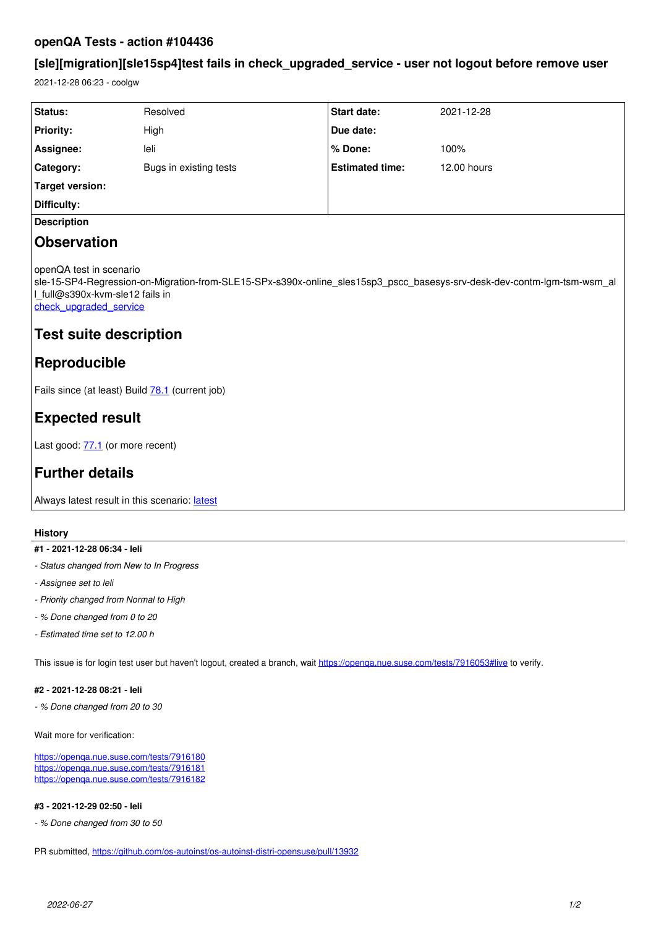## **openQA Tests - action #104436**

# **[sle][migration][sle15sp4]test fails in check\_upgraded\_service - user not logout before remove user**

2021-12-28 06:23 - coolgw

| Status:                                                                                                                                                                                                                                                          | Resolved               | <b>Start date:</b>     | 2021-12-28  |
|------------------------------------------------------------------------------------------------------------------------------------------------------------------------------------------------------------------------------------------------------------------|------------------------|------------------------|-------------|
| <b>Priority:</b>                                                                                                                                                                                                                                                 | High                   | Due date:              |             |
| Assignee:                                                                                                                                                                                                                                                        | leli                   | % Done:                | 100%        |
| Category:                                                                                                                                                                                                                                                        | Bugs in existing tests | <b>Estimated time:</b> | 12.00 hours |
| <b>Target version:</b>                                                                                                                                                                                                                                           |                        |                        |             |
| Difficulty:                                                                                                                                                                                                                                                      |                        |                        |             |
| <b>Description</b>                                                                                                                                                                                                                                               |                        |                        |             |
| <b>Observation</b>                                                                                                                                                                                                                                               |                        |                        |             |
| openQA test in scenario<br>sle-15-SP4-Regression-on-Migration-from-SLE15-SPx-s390x-online sles15sp3 pscc basesys-srv-desk-dev-contm-lgm-tsm-wsm al<br>I full@s390x-kvm-sle12 fails in<br>check upgraded service<br><b>Test suite description</b><br>Reproducible |                        |                        |             |
| Fails since (at least) Build 78.1 (current job)                                                                                                                                                                                                                  |                        |                        |             |
| <b>Expected result</b>                                                                                                                                                                                                                                           |                        |                        |             |
| Last good: 77.1 (or more recent)                                                                                                                                                                                                                                 |                        |                        |             |
| <b>Further details</b>                                                                                                                                                                                                                                           |                        |                        |             |
| Always latest result in this scenario: latest                                                                                                                                                                                                                    |                        |                        |             |
|                                                                                                                                                                                                                                                                  |                        |                        |             |

## **History**

#### **#1 - 2021-12-28 06:34 - leli**

- *Status changed from New to In Progress*
- *Assignee set to leli*
- *Priority changed from Normal to High*
- *% Done changed from 0 to 20*
- *Estimated time set to 12.00 h*

This issue is for login test user but haven't logout, created a branch, wait<https://openqa.nue.suse.com/tests/7916053#live>to verify.

#### **#2 - 2021-12-28 08:21 - leli**

*- % Done changed from 20 to 30*

Wait more for verification:

<https://openqa.nue.suse.com/tests/7916180> <https://openqa.nue.suse.com/tests/7916181> <https://openqa.nue.suse.com/tests/7916182>

#### **#3 - 2021-12-29 02:50 - leli**

*- % Done changed from 30 to 50*

PR submitted, <https://github.com/os-autoinst/os-autoinst-distri-opensuse/pull/13932>